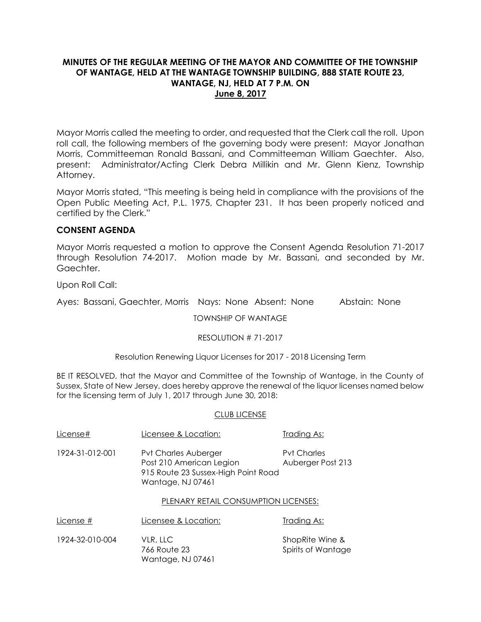# **MINUTES OF THE REGULAR MEETING OF THE MAYOR AND COMMITTEE OF THE TOWNSHIP OF WANTAGE, HELD AT THE WANTAGE TOWNSHIP BUILDING, 888 STATE ROUTE 23, WANTAGE, NJ, HELD AT 7 P.M. ON June 8, 2017**

Mayor Morris called the meeting to order, and requested that the Clerk call the roll. Upon roll call, the following members of the governing body were present: Mayor Jonathan Morris, Committeeman Ronald Bassani, and Committeeman William Gaechter. Also, present: Administrator/Acting Clerk Debra Millikin and Mr. Glenn Kienz, Township Attorney.

Mayor Morris stated, "This meeting is being held in compliance with the provisions of the Open Public Meeting Act, P.L. 1975, Chapter 231. It has been properly noticed and certified by the Clerk."

## **CONSENT AGENDA**

Mayor Morris requested a motion to approve the Consent Agenda Resolution 71-2017 through Resolution 74-2017. Motion made by Mr. Bassani, and seconded by Mr. Gaechter.

Upon Roll Call:

Ayes: Bassani, Gaechter, Morris Nays: None Absent: None Abstain: None

TOWNSHIP OF WANTAGE

RESOLUTION # 71-2017

Resolution Renewing Liquor Licenses for 2017 - 2018 Licensing Term

BE IT RESOLVED, that the Mayor and Committee of the Township of Wantage, in the County of Sussex, State of New Jersey, does hereby approve the renewal of the liquor licenses named below for the licensing term of July 1, 2017 through June 30, 2018:

#### CLUB LICENSE

766 Route 23 Spirits of Wantage

| License#        | Licensee & Location:                                                                                                | Trading As:                             |
|-----------------|---------------------------------------------------------------------------------------------------------------------|-----------------------------------------|
| 1924-31-012-001 | <b>Pvt Charles Auberger</b><br>Post 210 American Legion<br>915 Route 23 Sussex-High Point Road<br>Wantage, NJ 07461 | <b>Pyt Charles</b><br>Auberger Post 213 |
|                 | PLENARY RETAIL CONSUMPTION LICENSES:                                                                                |                                         |
| License #       | Licensee & Location:                                                                                                | Trading As:                             |
| 1924-32-010-004 | VLR, LLC                                                                                                            | ShopRite Wine &                         |

Wantage, NJ 07461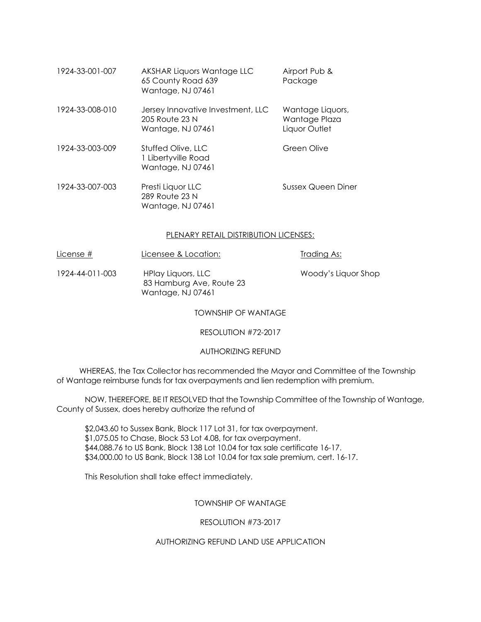| 1924-33-001-007 | AKSHAR Liquors Wantage LLC<br>65 County Road 639<br>Wantage, NJ 07461    | Airport Pub &<br>Package                           |
|-----------------|--------------------------------------------------------------------------|----------------------------------------------------|
| 1924-33-008-010 | Jersey Innovative Investment, LLC<br>205 Route 23 N<br>Wantage, NJ 07461 | Wantage Liquors,<br>Wantage Plaza<br>Liquor Outlet |
| 1924-33-003-009 | Stuffed Olive, LLC<br>1 Libertyville Road<br>Wantage, NJ 07461           | Green Olive                                        |
| 1924-33-007-003 | Presti Liquor LLC<br>289 Route 23 N<br>Wantage, NJ 07461                 | <b>Sussex Queen Diner</b>                          |

## PLENARY RETAIL DISTRIBUTION LICENSES:

License # Licensee & Location: Trading As:

1924-44-011-003 HPlay Liquors, LLC Woody's Liquor Shop 83 Hamburg Ave, Route 23 Wantage, NJ 07461

TOWNSHIP OF WANTAGE

RESOLUTION #72-2017

AUTHORIZING REFUND

 WHEREAS, the Tax Collector has recommended the Mayor and Committee of the Township of Wantage reimburse funds for tax overpayments and lien redemption with premium.

NOW, THEREFORE, BE IT RESOLVED that the Township Committee of the Township of Wantage, County of Sussex, does hereby authorize the refund of

\$2,043.60 to Sussex Bank, Block 117 Lot 31, for tax overpayment. \$1,075.05 to Chase, Block 53 Lot 4.08, for tax overpayment. \$44,088.76 to US Bank, Block 138 Lot 10.04 for tax sale certificate 16-17. \$34,000.00 to US Bank, Block 138 Lot 10.04 for tax sale premium, cert. 16-17.

This Resolution shall take effect immediately.

TOWNSHIP OF WANTAGE

RESOLUTION #73-2017

AUTHORIZING REFUND LAND USE APPLICATION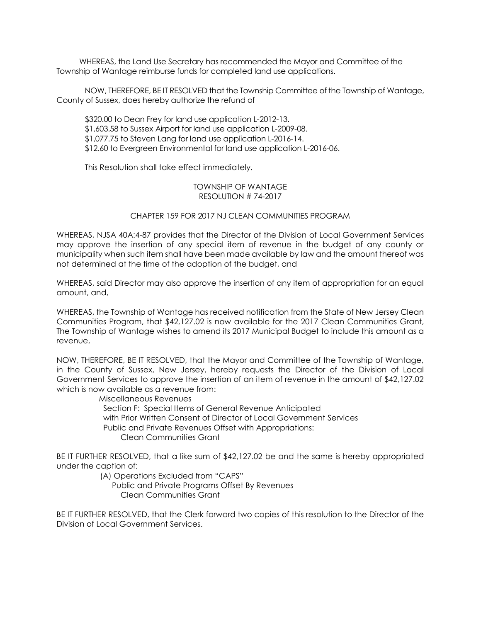WHEREAS, the Land Use Secretary has recommended the Mayor and Committee of the Township of Wantage reimburse funds for completed land use applications.

NOW, THEREFORE, BE IT RESOLVED that the Township Committee of the Township of Wantage, County of Sussex, does hereby authorize the refund of

\$320.00 to Dean Frey for land use application L-2012-13. \$1,603.58 to Sussex Airport for land use application L-2009-08. \$1,077.75 to Steven Lang for land use application L-2016-14. \$12.60 to Evergreen Environmental for land use application L-2016-06.

This Resolution shall take effect immediately.

### TOWNSHIP OF WANTAGE RESOLUTION # 74-2017

### CHAPTER 159 FOR 2017 NJ CLEAN COMMUNITIES PROGRAM

WHEREAS, NJSA 40A:4-87 provides that the Director of the Division of Local Government Services may approve the insertion of any special item of revenue in the budget of any county or municipality when such item shall have been made available by law and the amount thereof was not determined at the time of the adoption of the budget, and

WHEREAS, said Director may also approve the insertion of any item of appropriation for an equal amount, and,

WHEREAS, the Township of Wantage has received notification from the State of New Jersey Clean Communities Program, that \$42,127.02 is now available for the 2017 Clean Communities Grant, The Township of Wantage wishes to amend its 2017 Municipal Budget to include this amount as a revenue,

NOW, THEREFORE, BE IT RESOLVED, that the Mayor and Committee of the Township of Wantage, in the County of Sussex, New Jersey, hereby requests the Director of the Division of Local Government Services to approve the insertion of an item of revenue in the amount of \$42,127.02 which is now available as a revenue from:

> Miscellaneous Revenues Section F: Special Items of General Revenue Anticipated with Prior Written Consent of Director of Local Government Services Public and Private Revenues Offset with Appropriations: Clean Communities Grant

BE IT FURTHER RESOLVED, that a like sum of \$42,127.02 be and the same is hereby appropriated under the caption of:

 (A) Operations Excluded from "CAPS" Public and Private Programs Offset By Revenues Clean Communities Grant

BE IT FURTHER RESOLVED, that the Clerk forward two copies of this resolution to the Director of the Division of Local Government Services.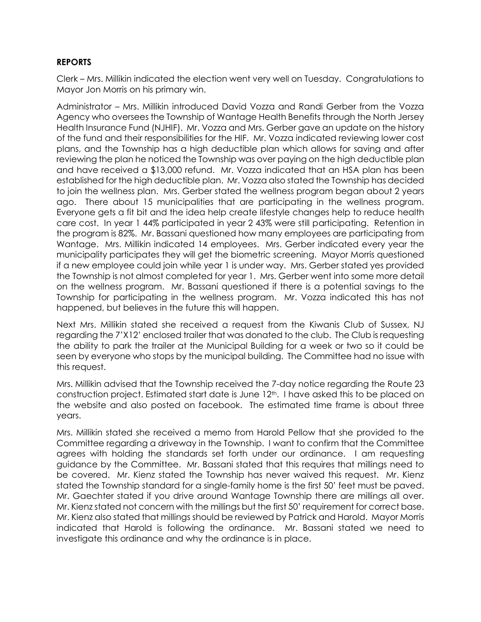# **REPORTS**

Clerk – Mrs. Millikin indicated the election went very well on Tuesday. Congratulations to Mayor Jon Morris on his primary win.

Administrator – Mrs. Millikin introduced David Vozza and Randi Gerber from the Vozza Agency who oversees the Township of Wantage Health Benefits through the North Jersey Health Insurance Fund (NJHIF). Mr. Vozza and Mrs. Gerber gave an update on the history of the fund and their responsibilities for the HIF. Mr. Vozza indicated reviewing lower cost plans, and the Township has a high deductible plan which allows for saving and after reviewing the plan he noticed the Township was over paying on the high deductible plan and have received a \$13,000 refund. Mr. Vozza indicated that an HSA plan has been established for the high deductible plan. Mr. Vozza also stated the Township has decided to join the wellness plan. Mrs. Gerber stated the wellness program began about 2 years ago. There about 15 municipalities that are participating in the wellness program. Everyone gets a fit bit and the idea help create lifestyle changes help to reduce health care cost. In year 1 44% participated in year 2 43% were still participating. Retention in the program is 82%. Mr. Bassani questioned how many employees are participating from Wantage. Mrs. Millikin indicated 14 employees. Mrs. Gerber indicated every year the municipality participates they will get the biometric screening. Mayor Morris questioned if a new employee could join while year 1 is under way. Mrs. Gerber stated yes provided the Township is not almost completed for year 1. Mrs. Gerber went into some more detail on the wellness program. Mr. Bassani questioned if there is a potential savings to the Township for participating in the wellness program. Mr. Vozza indicated this has not happened, but believes in the future this will happen.

Next Mrs. Millikin stated she received a request from the Kiwanis Club of Sussex, NJ regarding the 7'X12' enclosed trailer that was donated to the club. The Club is requesting the ability to park the trailer at the Municipal Building for a week or two so it could be seen by everyone who stops by the municipal building. The Committee had no issue with this request.

Mrs. Millikin advised that the Township received the 7-day notice regarding the Route 23 construction project. Estimated start date is June 12<sup>th</sup>. I have asked this to be placed on the website and also posted on facebook. The estimated time frame is about three years.

Mrs. Millikin stated she received a memo from Harold Pellow that she provided to the Committee regarding a driveway in the Township. I want to confirm that the Committee agrees with holding the standards set forth under our ordinance. I am requesting guidance by the Committee. Mr. Bassani stated that this requires that millings need to be covered. Mr. Kienz stated the Township has never waived this request. Mr. Kienz stated the Township standard for a single-family home is the first 50' feet must be paved. Mr. Gaechter stated if you drive around Wantage Township there are millings all over. Mr. Kienz stated not concern with the millings but the first 50' requirement for correct base. Mr. Kienz also stated that millings should be reviewed by Patrick and Harold. Mayor Morris indicated that Harold is following the ordinance. Mr. Bassani stated we need to investigate this ordinance and why the ordinance is in place.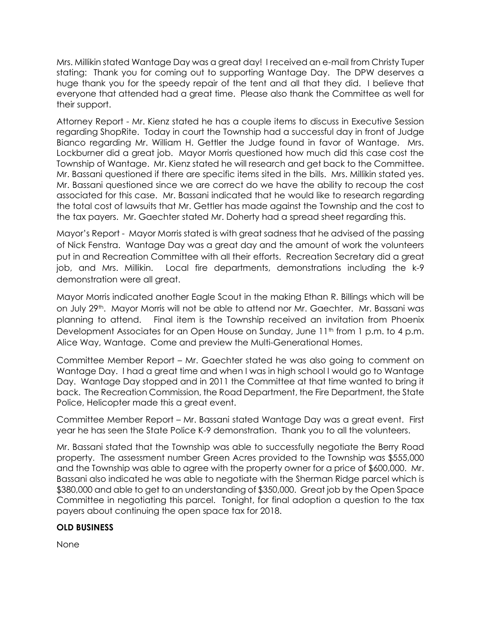Mrs. Millikin stated Wantage Day was a great day! I received an e-mail from Christy Tuper stating: Thank you for coming out to supporting Wantage Day. The DPW deserves a huge thank you for the speedy repair of the tent and all that they did. I believe that everyone that attended had a great time. Please also thank the Committee as well for their support.

Attorney Report - Mr. Kienz stated he has a couple items to discuss in Executive Session regarding ShopRite. Today in court the Township had a successful day in front of Judge Bianco regarding Mr. William H. Gettler the Judge found in favor of Wantage. Mrs. Lockburner did a great job. Mayor Morris questioned how much did this case cost the Township of Wantage. Mr. Kienz stated he will research and get back to the Committee. Mr. Bassani questioned if there are specific items sited in the bills. Mrs. Millikin stated yes. Mr. Bassani questioned since we are correct do we have the ability to recoup the cost associated for this case. Mr. Bassani indicated that he would like to research regarding the total cost of lawsuits that Mr. Gettler has made against the Township and the cost to the tax payers. Mr. Gaechter stated Mr. Doherty had a spread sheet regarding this.

Mayor's Report - Mayor Morris stated is with great sadness that he advised of the passing of Nick Fenstra. Wantage Day was a great day and the amount of work the volunteers put in and Recreation Committee with all their efforts. Recreation Secretary did a great job, and Mrs. Millikin. Local fire departments, demonstrations including the k-9 demonstration were all great.

Mayor Morris indicated another Eagle Scout in the making Ethan R. Billings which will be on July 29<sup>th</sup>. Mayor Morris will not be able to attend nor Mr. Gaechter. Mr. Bassani was planning to attend. Final item is the Township received an invitation from Phoenix Development Associates for an Open House on Sunday, June 11<sup>th</sup> from 1 p.m. to 4 p.m. Alice Way, Wantage. Come and preview the Multi-Generational Homes.

Committee Member Report – Mr. Gaechter stated he was also going to comment on Wantage Day. I had a great time and when I was in high school I would go to Wantage Day. Wantage Day stopped and in 2011 the Committee at that time wanted to bring it back. The Recreation Commission, the Road Department, the Fire Department, the State Police, Helicopter made this a great event.

Committee Member Report – Mr. Bassani stated Wantage Day was a great event. First year he has seen the State Police K-9 demonstration. Thank you to all the volunteers.

Mr. Bassani stated that the Township was able to successfully negotiate the Berry Road property. The assessment number Green Acres provided to the Township was \$555,000 and the Township was able to agree with the property owner for a price of \$600,000. Mr. Bassani also indicated he was able to negotiate with the Sherman Ridge parcel which is \$380,000 and able to get to an understanding of \$350,000. Great job by the Open Space Committee in negotiating this parcel. Tonight, for final adoption a question to the tax payers about continuing the open space tax for 2018.

# **OLD BUSINESS**

None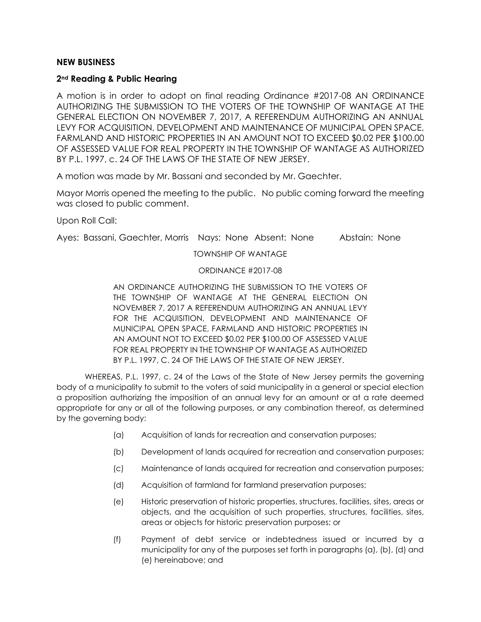## **NEW BUSINESS**

## **2nd Reading & Public Hearing**

A motion is in order to adopt on final reading Ordinance #2017-08 AN ORDINANCE AUTHORIZING THE SUBMISSION TO THE VOTERS OF THE TOWNSHIP OF WANTAGE AT THE GENERAL ELECTION ON NOVEMBER 7, 2017, A REFERENDUM AUTHORIZING AN ANNUAL LEVY FOR ACQUISITION, DEVELOPMENT AND MAINTENANCE OF MUNICIPAL OPEN SPACE, FARMLAND AND HISTORIC PROPERTIES IN AN AMOUNT NOT TO EXCEED \$0.02 PER \$100.00 OF ASSESSED VALUE FOR REAL PROPERTY IN THE TOWNSHIP OF WANTAGE AS AUTHORIZED BY P.L. 1997, c. 24 OF THE LAWS OF THE STATE OF NEW JERSEY.

A motion was made by Mr. Bassani and seconded by Mr. Gaechter.

Mayor Morris opened the meeting to the public. No public coming forward the meeting was closed to public comment.

Upon Roll Call:

Ayes: Bassani, Gaechter, Morris Nays: None Absent: None Abstain: None

#### TOWNSHIP OF WANTAGE

### ORDINANCE #2017-08

AN ORDINANCE AUTHORIZING THE SUBMISSION TO THE VOTERS OF THE TOWNSHIP OF WANTAGE AT THE GENERAL ELECTION ON NOVEMBER 7, 2017 A REFERENDUM AUTHORIZING AN ANNUAL LEVY FOR THE ACQUISITION, DEVELOPMENT AND MAINTENANCE OF MUNICIPAL OPEN SPACE, FARMLAND AND HISTORIC PROPERTIES IN AN AMOUNT NOT TO EXCEED \$0.02 PER \$100.00 OF ASSESSED VALUE FOR REAL PROPERTY IN THE TOWNSHIP OF WANTAGE AS AUTHORIZED BY P.L. 1997, C. 24 OF THE LAWS OF THE STATE OF NEW JERSEY.

WHEREAS, P.L. 1997, c. 24 of the Laws of the State of New Jersey permits the governing body of a municipality to submit to the voters of said municipality in a general or special election a proposition authorizing the imposition of an annual levy for an amount or at a rate deemed appropriate for any or all of the following purposes, or any combination thereof, as determined by the governing body:

- (a) Acquisition of lands for recreation and conservation purposes;
- (b) Development of lands acquired for recreation and conservation purposes;
- (c) Maintenance of lands acquired for recreation and conservation purposes;
- (d) Acquisition of farmland for farmland preservation purposes;
- (e) Historic preservation of historic properties, structures, facilities, sites, areas or objects, and the acquisition of such properties, structures, facilities, sites, areas or objects for historic preservation purposes; or
- (f) Payment of debt service or indebtedness issued or incurred by a municipality for any of the purposes set forth in paragraphs (a), (b), (d) and (e) hereinabove; and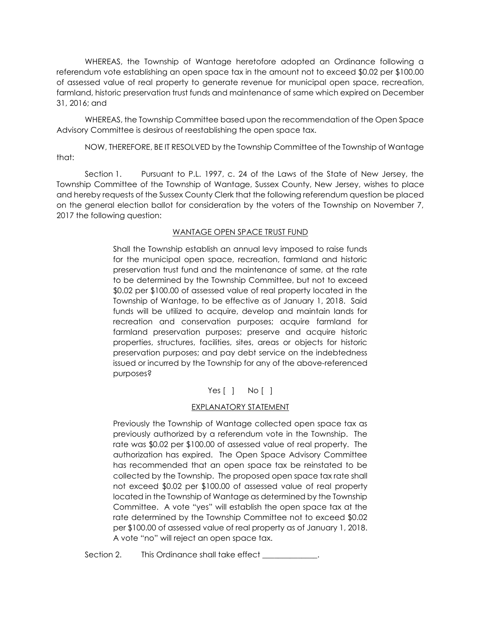WHEREAS, the Township of Wantage heretofore adopted an Ordinance following a referendum vote establishing an open space tax in the amount not to exceed \$0.02 per \$100.00 of assessed value of real property to generate revenue for municipal open space, recreation, farmland, historic preservation trust funds and maintenance of same which expired on December 31, 2016; and

WHEREAS, the Township Committee based upon the recommendation of the Open Space Advisory Committee is desirous of reestablishing the open space tax.

NOW, THEREFORE, BE IT RESOLVED by the Township Committee of the Township of Wantage that:

Section 1. Pursuant to P.L. 1997, c. 24 of the Laws of the State of New Jersey, the Township Committee of the Township of Wantage, Sussex County, New Jersey, wishes to place and hereby requests of the Sussex County Clerk that the following referendum question be placed on the general election ballot for consideration by the voters of the Township on November 7, 2017 the following question:

### WANTAGE OPEN SPACE TRUST FUND

Shall the Township establish an annual levy imposed to raise funds for the municipal open space, recreation, farmland and historic preservation trust fund and the maintenance of same, at the rate to be determined by the Township Committee, but not to exceed \$0.02 per \$100.00 of assessed value of real property located in the Township of Wantage, to be effective as of January 1, 2018. Said funds will be utilized to acquire, develop and maintain lands for recreation and conservation purposes; acquire farmland for farmland preservation purposes; preserve and acquire historic properties, structures, facilities, sites, areas or objects for historic preservation purposes; and pay debt service on the indebtedness issued or incurred by the Township for any of the above-referenced purposes?

# Yes [ ] No [ ]

# EXPLANATORY STATEMENT

Previously the Township of Wantage collected open space tax as previously authorized by a referendum vote in the Township. The rate was \$0.02 per \$100.00 of assessed value of real property. The authorization has expired. The Open Space Advisory Committee has recommended that an open space tax be reinstated to be collected by the Township. The proposed open space tax rate shall not exceed \$0.02 per \$100.00 of assessed value of real property located in the Township of Wantage as determined by the Township Committee. A vote "yes" will establish the open space tax at the rate determined by the Township Committee not to exceed \$0.02 per \$100.00 of assessed value of real property as of January 1, 2018. A vote "no" will reject an open space tax.

Section 2. This Ordinance shall take effect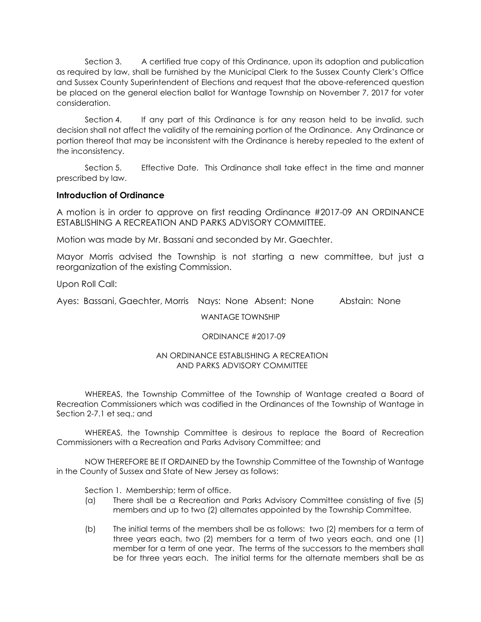Section 3. A certified true copy of this Ordinance, upon its adoption and publication as required by law, shall be furnished by the Municipal Clerk to the Sussex County Clerk's Office and Sussex County Superintendent of Elections and request that the above-referenced question be placed on the general election ballot for Wantage Township on November 7, 2017 for voter consideration.

Section 4. If any part of this Ordinance is for any reason held to be invalid, such decision shall not affect the validity of the remaining portion of the Ordinance. Any Ordinance or portion thereof that may be inconsistent with the Ordinance is hereby repealed to the extent of the inconsistency.

Section 5. Effective Date. This Ordinance shall take effect in the time and manner prescribed by law.

## **Introduction of Ordinance**

A motion is in order to approve on first reading Ordinance #2017-09 AN ORDINANCE ESTABLISHING A RECREATION AND PARKS ADVISORY COMMITTEE.

Motion was made by Mr. Bassani and seconded by Mr. Gaechter.

Mayor Morris advised the Township is not starting a new committee, but just a reorganization of the existing Commission.

Upon Roll Call:

Ayes: Bassani, Gaechter, Morris Nays: None Absent: None Abstain: None

WANTAGE TOWNSHIP

### ORDINANCE #2017-09

### AN ORDINANCE ESTABLISHING A RECREATION AND PARKS ADVISORY COMMITTEE

WHEREAS, the Township Committee of the Township of Wantage created a Board of Recreation Commissioners which was codified in the Ordinances of the Township of Wantage in Section 2-7.1 et seq.; and

WHEREAS, the Township Committee is desirous to replace the Board of Recreation Commissioners with a Recreation and Parks Advisory Committee; and

NOW THEREFORE BE IT ORDAINED by the Township Committee of the Township of Wantage in the County of Sussex and State of New Jersey as follows:

Section 1. Membership; term of office.

- (a) There shall be a Recreation and Parks Advisory Committee consisting of five (5) members and up to two (2) alternates appointed by the Township Committee.
- (b) The initial terms of the members shall be as follows: two (2) members for a term of three years each, two (2) members for a term of two years each, and one (1) member for a term of one year. The terms of the successors to the members shall be for three years each. The initial terms for the alternate members shall be as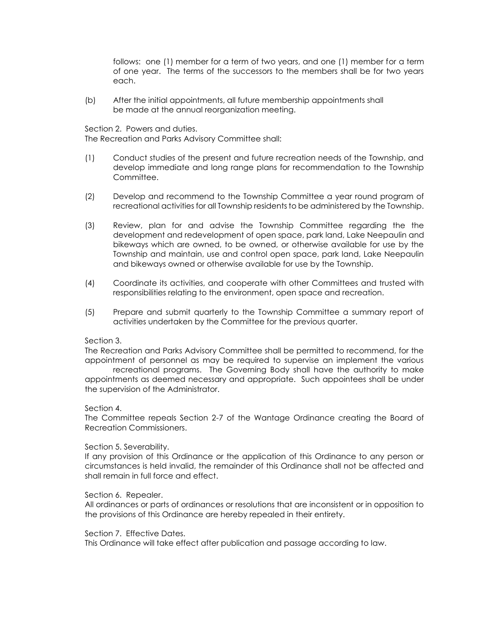follows: one (1) member for a term of two years, and one (1) member for a term of one year. The terms of the successors to the members shall be for two years each.

(b) After the initial appointments, all future membership appointments shall be made at the annual reorganization meeting.

Section 2. Powers and duties. The Recreation and Parks Advisory Committee shall:

- (1) Conduct studies of the present and future recreation needs of the Township, and develop immediate and long range plans for recommendation to the Township Committee.
- (2) Develop and recommend to the Township Committee a year round program of recreational activities for all Township residents to be administered by the Township.
- (3) Review, plan for and advise the Township Committee regarding the the development and redevelopment of open space, park land, Lake Neepaulin and bikeways which are owned, to be owned, or otherwise available for use by the Township and maintain, use and control open space, park land, Lake Neepaulin and bikeways owned or otherwise available for use by the Township.
- (4) Coordinate its activities, and cooperate with other Committees and trusted with responsibilities relating to the environment, open space and recreation.
- (5) Prepare and submit quarterly to the Township Committee a summary report of activities undertaken by the Committee for the previous quarter.

#### Section 3.

The Recreation and Parks Advisory Committee shall be permitted to recommend, for the appointment of personnel as may be required to supervise an implement the various

recreational programs. The Governing Body shall have the authority to make appointments as deemed necessary and appropriate. Such appointees shall be under the supervision of the Administrator.

#### Section 4.

The Committee repeals Section 2-7 of the Wantage Ordinance creating the Board of Recreation Commissioners.

#### Section 5. Severability.

If any provision of this Ordinance or the application of this Ordinance to any person or circumstances is held invalid, the remainder of this Ordinance shall not be affected and shall remain in full force and effect.

#### Section 6. Repealer.

All ordinances or parts of ordinances or resolutions that are inconsistent or in opposition to the provisions of this Ordinance are hereby repealed in their entirety.

#### Section 7. Effective Dates.

This Ordinance will take effect after publication and passage according to law.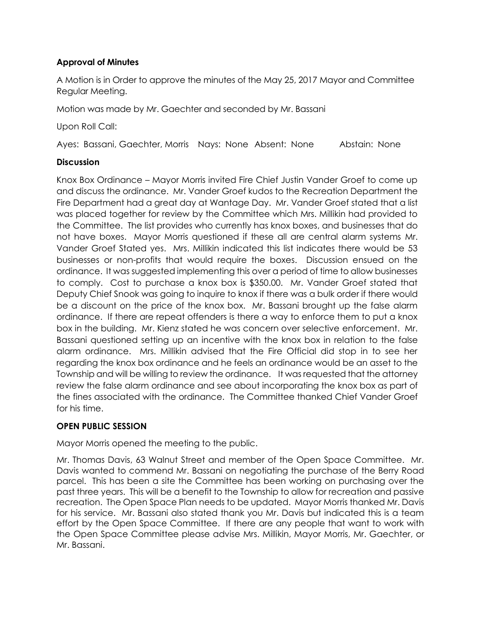# **Approval of Minutes**

A Motion is in Order to approve the minutes of the May 25, 2017 Mayor and Committee Regular Meeting.

Motion was made by Mr. Gaechter and seconded by Mr. Bassani

Upon Roll Call:

Ayes: Bassani, Gaechter, Morris Nays: None Absent: None Abstain: None

# **Discussion**

Knox Box Ordinance – Mayor Morris invited Fire Chief Justin Vander Groef to come up and discuss the ordinance. Mr. Vander Groef kudos to the Recreation Department the Fire Department had a great day at Wantage Day. Mr. Vander Groef stated that a list was placed together for review by the Committee which Mrs. Millikin had provided to the Committee. The list provides who currently has knox boxes, and businesses that do not have boxes. Mayor Morris questioned if these all are central alarm systems Mr. Vander Groef Stated yes. Mrs. Millikin indicated this list indicates there would be 53 businesses or non-profits that would require the boxes. Discussion ensued on the ordinance. It was suggested implementing this over a period of time to allow businesses to comply. Cost to purchase a knox box is \$350.00. Mr. Vander Groef stated that Deputy Chief Snook was going to inquire to knox if there was a bulk order if there would be a discount on the price of the knox box. Mr. Bassani brought up the false alarm ordinance. If there are repeat offenders is there a way to enforce them to put a knox box in the building. Mr. Kienz stated he was concern over selective enforcement. Mr. Bassani questioned setting up an incentive with the knox box in relation to the false alarm ordinance. Mrs. Millikin advised that the Fire Official did stop in to see her regarding the knox box ordinance and he feels an ordinance would be an asset to the Township and will be willing to review the ordinance. It was requested that the attorney review the false alarm ordinance and see about incorporating the knox box as part of the fines associated with the ordinance. The Committee thanked Chief Vander Groef for his time.

# **OPEN PUBLIC SESSION**

Mayor Morris opened the meeting to the public.

Mr. Thomas Davis, 63 Walnut Street and member of the Open Space Committee. Mr. Davis wanted to commend Mr. Bassani on negotiating the purchase of the Berry Road parcel. This has been a site the Committee has been working on purchasing over the past three years. This will be a benefit to the Township to allow for recreation and passive recreation. The Open Space Plan needs to be updated. Mayor Morris thanked Mr. Davis for his service. Mr. Bassani also stated thank you Mr. Davis but indicated this is a team effort by the Open Space Committee. If there are any people that want to work with the Open Space Committee please advise Mrs. Millikin, Mayor Morris, Mr. Gaechter, or Mr. Bassani.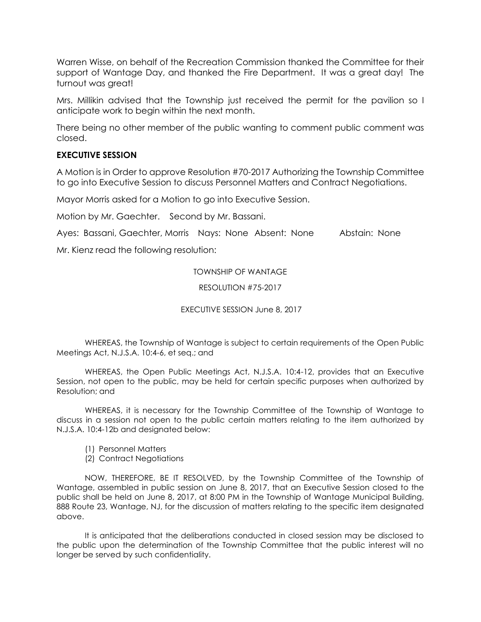Warren Wisse, on behalf of the Recreation Commission thanked the Committee for their support of Wantage Day, and thanked the Fire Department. It was a great day! The turnout was great!

Mrs. Millikin advised that the Township just received the permit for the pavilion so I anticipate work to begin within the next month.

There being no other member of the public wanting to comment public comment was closed.

# **EXECUTIVE SESSION**

A Motion is in Order to approve Resolution #70-2017 Authorizing the Township Committee to go into Executive Session to discuss Personnel Matters and Contract Negotiations.

Mayor Morris asked for a Motion to go into Executive Session.

Motion by Mr. Gaechter. Second by Mr. Bassani.

Ayes: Bassani, Gaechter, Morris Nays: None Absent: None Abstain: None

Mr. Kienz read the following resolution:

TOWNSHIP OF WANTAGE

### RESOLUTION #75-2017

EXECUTIVE SESSION June 8, 2017

WHEREAS, the Township of Wantage is subject to certain requirements of the Open Public Meetings Act, N.J.S.A. 10:4-6, et seq.; and

WHEREAS, the Open Public Meetings Act, N.J.S.A. 10:4-12, provides that an Executive Session, not open to the public, may be held for certain specific purposes when authorized by Resolution; and

WHEREAS, it is necessary for the Township Committee of the Township of Wantage to discuss in a session not open to the public certain matters relating to the item authorized by N.J.S.A. 10:4-12b and designated below:

- (1) Personnel Matters
- (2) Contract Negotiations

NOW, THEREFORE, BE IT RESOLVED, by the Township Committee of the Township of Wantage, assembled in public session on June 8, 2017, that an Executive Session closed to the public shall be held on June 8, 2017, at 8:00 PM in the Township of Wantage Municipal Building, 888 Route 23, Wantage, NJ, for the discussion of matters relating to the specific item designated above.

It is anticipated that the deliberations conducted in closed session may be disclosed to the public upon the determination of the Township Committee that the public interest will no longer be served by such confidentiality.